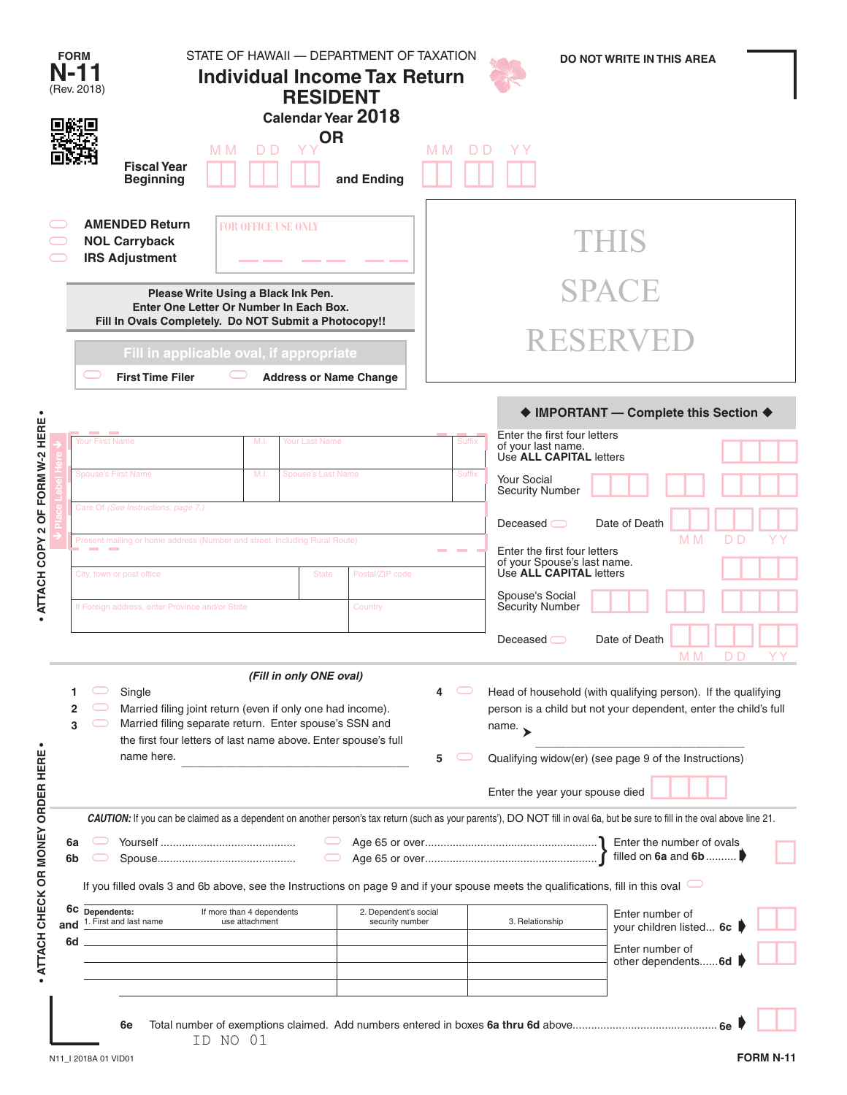|                                  | <b>FORM</b><br>N-11<br>(Rev. 2018)                                                                                                                                                                                                                                                                                            |                                                                                                                                            |                            | STATE OF HAWAII - DEPARTMENT OF TAXATION<br><b>Individual Income Tax Return</b><br><b>RESIDENT</b><br>Calendar Year 2018 |                                          |                                                                                                                                                          |                                                                                          | <b>DO NOT WRITE IN THIS AREA</b>      |     |  |  |  |  |
|----------------------------------|-------------------------------------------------------------------------------------------------------------------------------------------------------------------------------------------------------------------------------------------------------------------------------------------------------------------------------|--------------------------------------------------------------------------------------------------------------------------------------------|----------------------------|--------------------------------------------------------------------------------------------------------------------------|------------------------------------------|----------------------------------------------------------------------------------------------------------------------------------------------------------|------------------------------------------------------------------------------------------|---------------------------------------|-----|--|--|--|--|
|                                  |                                                                                                                                                                                                                                                                                                                               | <b>Fiscal Year</b><br><b>Beginning</b>                                                                                                     | M <sub>M</sub><br>D D      | <b>OR</b><br>and Ending                                                                                                  | M M                                      | D D                                                                                                                                                      |                                                                                          |                                       |     |  |  |  |  |
|                                  |                                                                                                                                                                                                                                                                                                                               | <b>AMENDED Return</b><br><b>NOL Carryback</b><br><b>IRS Adjustment</b>                                                                     | <b>FOR OFFICE USE ONLY</b> |                                                                                                                          |                                          |                                                                                                                                                          |                                                                                          | THIS                                  |     |  |  |  |  |
|                                  | Please Write Using a Black Ink Pen.<br>Enter One Letter Or Number In Each Box.<br>Fill In Ovals Completely. Do NOT Submit a Photocopy!!                                                                                                                                                                                       |                                                                                                                                            |                            |                                                                                                                          |                                          | <b>SPACE</b>                                                                                                                                             |                                                                                          |                                       |     |  |  |  |  |
|                                  |                                                                                                                                                                                                                                                                                                                               | Fill in applicable oval, if appropriate<br><b>First Time Filer</b><br><b>Address or Name Change</b>                                        |                            |                                                                                                                          |                                          | <b>RESERVED</b>                                                                                                                                          |                                                                                          |                                       |     |  |  |  |  |
| $\bullet$                        |                                                                                                                                                                                                                                                                                                                               |                                                                                                                                            |                            |                                                                                                                          |                                          |                                                                                                                                                          |                                                                                          | ♦ IMPORTANT - Complete this Section ♦ |     |  |  |  |  |
| OF FORM W-2 HERE                 | <b>Your First Name</b>                                                                                                                                                                                                                                                                                                        |                                                                                                                                            | M.I.                       | Your Last Name                                                                                                           |                                          | Suffix                                                                                                                                                   | Enter the first four letters<br>of your last name.<br>Use ALL CAPITAL letters            |                                       |     |  |  |  |  |
|                                  |                                                                                                                                                                                                                                                                                                                               | <b>Spouse's First Name</b>                                                                                                                 | M.I.                       | <b>Spouse's Last Name</b>                                                                                                |                                          | <b>Suffix</b>                                                                                                                                            | <b>Your Social</b><br><b>Security Number</b>                                             |                                       |     |  |  |  |  |
| $\boldsymbol{\mathsf{N}}$        |                                                                                                                                                                                                                                                                                                                               | Care Of (See Instructions, page 7.)                                                                                                        |                            |                                                                                                                          |                                          |                                                                                                                                                          | Deceased $\bigcirc$                                                                      | Date of Death<br>M <sub>M</sub>       | D D |  |  |  |  |
| ATTACH COPY                      |                                                                                                                                                                                                                                                                                                                               | Present mailing or home address (Number and street, including Rural Route)<br>Postal/ZIP code<br>City, town or post office<br><b>State</b> |                            |                                                                                                                          |                                          |                                                                                                                                                          | Enter the first four letters<br>of your Spouse's last name.<br>Use ALL CAPITAL letters   |                                       |     |  |  |  |  |
|                                  |                                                                                                                                                                                                                                                                                                                               | If Foreign address, enter Province and/or State<br>Country                                                                                 |                            |                                                                                                                          |                                          |                                                                                                                                                          | Spouse's Social<br>Security Number                                                       |                                       |     |  |  |  |  |
|                                  |                                                                                                                                                                                                                                                                                                                               |                                                                                                                                            |                            |                                                                                                                          |                                          |                                                                                                                                                          | Deceased                                                                                 | Date of Death<br>M <sub>M</sub>       | D D |  |  |  |  |
|                                  | (Fill in only ONE oval)<br>Single<br>1<br>Married filing joint return (even if only one had income).<br>2<br>Married filing separate return. Enter spouse's SSN and<br>3<br>the first four letters of last name above. Enter spouse's full                                                                                    |                                                                                                                                            |                            |                                                                                                                          | 4                                        | Head of household (with qualifying person). If the qualifying<br>person is a child but not your dependent, enter the child's full<br>name. $\rightarrow$ |                                                                                          |                                       |     |  |  |  |  |
|                                  |                                                                                                                                                                                                                                                                                                                               | name here.                                                                                                                                 |                            |                                                                                                                          | 5                                        |                                                                                                                                                          | Qualifying widow(er) (see page 9 of the Instructions)<br>Enter the year your spouse died |                                       |     |  |  |  |  |
| ATTACH CHECK OR MONEY ORDER HERE | CAUTION: If you can be claimed as a dependent on another person's tax return (such as your parents'), DO NOT fill in oval 6a, but be sure to fill in the oval above line 21.<br>6а<br>6b<br>If you filled ovals 3 and 6b above, see the Instructions on page 9 and if your spouse meets the qualifications, fill in this oval |                                                                                                                                            |                            |                                                                                                                          |                                          |                                                                                                                                                          |                                                                                          | filled on $6a$ and $6b$               |     |  |  |  |  |
| and                              | 6c                                                                                                                                                                                                                                                                                                                            | Dependents:<br>If more than 4 dependents<br>1. First and last name<br>use attachment                                                       |                            |                                                                                                                          | 2. Dependent's social<br>security number | Enter number of<br>3. Relationship<br>your children listed 6c                                                                                            |                                                                                          |                                       |     |  |  |  |  |
|                                  | 6d                                                                                                                                                                                                                                                                                                                            |                                                                                                                                            |                            |                                                                                                                          |                                          |                                                                                                                                                          | Enter number of<br>other dependents6d                                                    |                                       |     |  |  |  |  |
|                                  |                                                                                                                                                                                                                                                                                                                               | 6e                                                                                                                                         | ID NO 01                   |                                                                                                                          |                                          |                                                                                                                                                          |                                                                                          |                                       |     |  |  |  |  |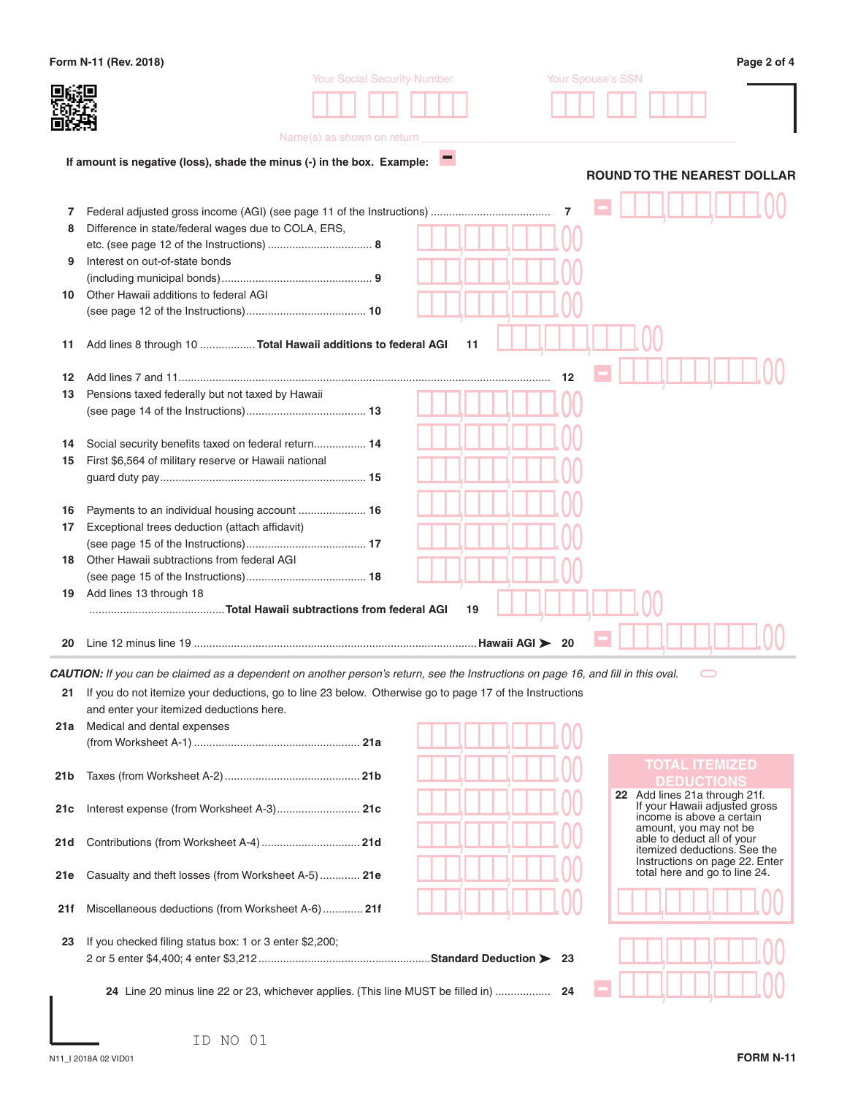|      | Form N-11 (Rev. 2018)                                                                                                             |                                    |     | Page 2 of 4                                                     |
|------|-----------------------------------------------------------------------------------------------------------------------------------|------------------------------------|-----|-----------------------------------------------------------------|
|      |                                                                                                                                   | <b>Your Social Security Number</b> |     | Your Spouse's SSN                                               |
|      |                                                                                                                                   |                                    |     |                                                                 |
|      |                                                                                                                                   |                                    |     |                                                                 |
|      |                                                                                                                                   | Name(s) as shown on return         |     |                                                                 |
|      | If amount is negative (loss), shade the minus (-) in the box. Example:                                                            |                                    |     |                                                                 |
|      |                                                                                                                                   |                                    |     | <b>ROUND TO THE NEAREST DOLLAR</b>                              |
|      |                                                                                                                                   |                                    |     |                                                                 |
| 7    |                                                                                                                                   |                                    | 7   |                                                                 |
| 8    | Difference in state/federal wages due to COLA, ERS,                                                                               |                                    |     |                                                                 |
|      |                                                                                                                                   |                                    |     |                                                                 |
| 9    | Interest on out-of-state bonds                                                                                                    |                                    |     |                                                                 |
| 10   | Other Hawaii additions to federal AGI                                                                                             |                                    |     |                                                                 |
|      |                                                                                                                                   |                                    |     |                                                                 |
|      |                                                                                                                                   |                                    |     |                                                                 |
| 11   | Add lines 8 through 10  Total Hawaii additions to federal AGI                                                                     |                                    | 11  |                                                                 |
|      |                                                                                                                                   |                                    |     |                                                                 |
| 12   |                                                                                                                                   |                                    | 12  |                                                                 |
| 13   | Pensions taxed federally but not taxed by Hawaii                                                                                  |                                    |     |                                                                 |
|      |                                                                                                                                   |                                    |     |                                                                 |
| 14   | Social security benefits taxed on federal return 14                                                                               |                                    |     |                                                                 |
| 15   | First \$6,564 of military reserve or Hawaii national                                                                              |                                    |     |                                                                 |
|      |                                                                                                                                   |                                    |     |                                                                 |
|      |                                                                                                                                   |                                    |     |                                                                 |
| 16   | Payments to an individual housing account  16                                                                                     |                                    |     |                                                                 |
| 17   | Exceptional trees deduction (attach affidavit)                                                                                    |                                    |     |                                                                 |
|      |                                                                                                                                   |                                    |     |                                                                 |
| 18   | Other Hawaii subtractions from federal AGI                                                                                        |                                    |     |                                                                 |
|      |                                                                                                                                   |                                    |     |                                                                 |
| 19   | Add lines 13 through 18                                                                                                           |                                    | 19  |                                                                 |
|      |                                                                                                                                   |                                    |     |                                                                 |
| 20   |                                                                                                                                   |                                    | -20 |                                                                 |
|      |                                                                                                                                   |                                    |     |                                                                 |
|      | CAUTION: If you can be claimed as a dependent on another person's return, see the Instructions on page 16, and fill in this oval. |                                    |     |                                                                 |
| 21   | If you do not itemize your deductions, go to line 23 below. Otherwise go to page 17 of the Instructions                           |                                    |     |                                                                 |
|      | and enter your itemized deductions here.<br>Medical and dental expenses                                                           |                                    |     |                                                                 |
| 21a  |                                                                                                                                   |                                    |     |                                                                 |
|      |                                                                                                                                   |                                    |     |                                                                 |
| 21 b |                                                                                                                                   |                                    |     | <b>TOTAL ITEMIZED</b><br><b>DEDUCTIONS</b>                      |
|      |                                                                                                                                   |                                    |     | 22 Add lines 21a through 21f.                                   |
| 21c  | Interest expense (from Worksheet A-3) 21c                                                                                         |                                    |     | If your Hawaii adjusted gross<br>income is above a certain      |
|      |                                                                                                                                   |                                    |     | amount, you may not be                                          |
| 21d  |                                                                                                                                   |                                    |     | able to deduct all of your<br>itemized deductions. See the      |
|      |                                                                                                                                   |                                    |     | Instructions on page 22. Enter<br>total here and go to line 24. |
| 21e  | Casualty and theft losses (from Worksheet A-5)  21e                                                                               |                                    |     |                                                                 |
| 21f  | Miscellaneous deductions (from Worksheet A-6)  21f                                                                                |                                    |     |                                                                 |
|      |                                                                                                                                   |                                    |     |                                                                 |
| 23   | If you checked filing status box: 1 or 3 enter \$2,200;                                                                           |                                    |     |                                                                 |
|      |                                                                                                                                   |                                    |     |                                                                 |
|      |                                                                                                                                   |                                    |     |                                                                 |
|      | 24 Line 20 minus line 22 or 23, whichever applies. (This line MUST be filled in)  24                                              |                                    |     |                                                                 |
|      |                                                                                                                                   |                                    |     |                                                                 |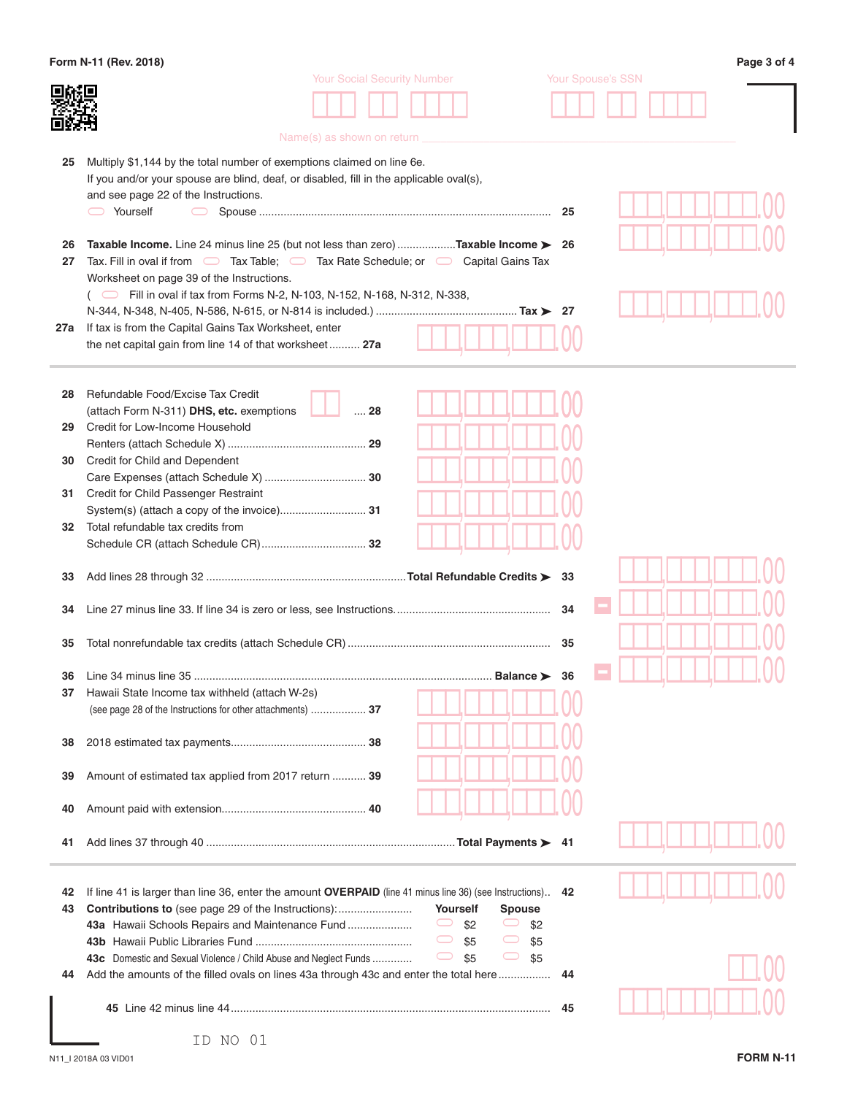|          | Form N-11 (Rev. 2018)                                                                                                                                                             |     |                          | Page 3 of 4 |
|----------|-----------------------------------------------------------------------------------------------------------------------------------------------------------------------------------|-----|--------------------------|-------------|
|          | <b>Your Social Security Number</b>                                                                                                                                                |     | <b>Your Spouse's SSN</b> |             |
|          |                                                                                                                                                                                   |     |                          |             |
|          |                                                                                                                                                                                   |     |                          |             |
|          | Name(s) as shown on return                                                                                                                                                        |     |                          |             |
| 25       | Multiply \$1,144 by the total number of exemptions claimed on line 6e.                                                                                                            |     |                          |             |
|          | If you and/or your spouse are blind, deaf, or disabled, fill in the applicable oval(s),                                                                                           |     |                          |             |
|          | and see page 22 of the Instructions.                                                                                                                                              |     |                          |             |
|          | Yourself                                                                                                                                                                          | -25 |                          |             |
|          |                                                                                                                                                                                   |     |                          |             |
| 26       | <b>Taxable Income.</b> Line 24 minus line 25 (but not less than zero) <b>Taxable Income &gt; 26</b>                                                                               |     |                          |             |
| 27       | Tax. Fill in oval if from $\Box$ Tax Table; $\Box$ Tax Rate Schedule; or $\Box$ Capital Gains Tax                                                                                 |     |                          |             |
|          | Worksheet on page 39 of the Instructions.                                                                                                                                         |     |                          |             |
|          | $\Box$ Fill in oval if tax from Forms N-2, N-103, N-152, N-168, N-312, N-338,                                                                                                     |     |                          |             |
|          |                                                                                                                                                                                   |     |                          |             |
| 27a      | If tax is from the Capital Gains Tax Worksheet, enter                                                                                                                             |     |                          |             |
|          | the net capital gain from line 14 of that worksheet 27a                                                                                                                           |     |                          |             |
|          |                                                                                                                                                                                   |     |                          |             |
|          | Refundable Food/Excise Tax Credit                                                                                                                                                 |     |                          |             |
| 28       | (attach Form N-311) DHS, etc. exemptions<br>$\ldots$ 28                                                                                                                           |     |                          |             |
| 29       | Credit for Low-Income Household                                                                                                                                                   |     |                          |             |
|          |                                                                                                                                                                                   |     |                          |             |
| 30       | Credit for Child and Dependent                                                                                                                                                    |     |                          |             |
|          |                                                                                                                                                                                   |     |                          |             |
| 31       | Credit for Child Passenger Restraint                                                                                                                                              |     |                          |             |
|          |                                                                                                                                                                                   |     |                          |             |
| 32       | Total refundable tax credits from                                                                                                                                                 |     |                          |             |
|          |                                                                                                                                                                                   |     |                          |             |
|          |                                                                                                                                                                                   |     |                          |             |
| 33       |                                                                                                                                                                                   |     |                          |             |
|          |                                                                                                                                                                                   |     |                          |             |
| 34       |                                                                                                                                                                                   | 34  |                          |             |
| 35       |                                                                                                                                                                                   | 35  |                          |             |
|          |                                                                                                                                                                                   |     |                          |             |
|          | <b>36</b> Line 34 minus line 35<br>Balance $\blacktriangleright$                                                                                                                  | -36 |                          |             |
| 37       | Hawaii State Income tax withheld (attach W-2s)                                                                                                                                    |     |                          |             |
|          | (see page 28 of the Instructions for other attachments)  37                                                                                                                       |     |                          |             |
|          |                                                                                                                                                                                   |     |                          |             |
| 38       |                                                                                                                                                                                   |     |                          |             |
|          |                                                                                                                                                                                   |     |                          |             |
| 39       | Amount of estimated tax applied from 2017 return  39                                                                                                                              |     |                          |             |
|          |                                                                                                                                                                                   |     |                          |             |
| 40       |                                                                                                                                                                                   |     |                          |             |
|          |                                                                                                                                                                                   |     |                          |             |
| 41       |                                                                                                                                                                                   |     |                          |             |
|          |                                                                                                                                                                                   |     |                          |             |
|          |                                                                                                                                                                                   |     |                          |             |
| 42<br>43 | If line 41 is larger than line 36, enter the amount OVERPAID (line 41 minus line 36) (see Instructions)<br><b>Contributions to</b> (see page 29 of the Instructions):<br>Yourself | 42  |                          |             |
|          | <b>Spouse</b><br>$\displaystyle\bigcirc$<br>43a Hawaii Schools Repairs and Maintenance Fund<br>\$2<br>\$2<br>$\smash{\smash{\cup}}$                                               |     |                          |             |
|          | $\displaystyle\bigcirc$<br>$\bigcirc$<br>\$5<br>\$5                                                                                                                               |     |                          |             |
|          | $\bigcirc$<br>$\displaystyle\bigcirc$<br>\$5<br>\$5<br>43c Domestic and Sexual Violence / Child Abuse and Neglect Funds                                                           |     |                          |             |
| 44       | Add the amounts of the filled ovals on lines 43a through 43c and enter the total here                                                                                             | 44  |                          |             |
|          |                                                                                                                                                                                   |     |                          |             |
|          |                                                                                                                                                                                   | 45  |                          |             |
|          |                                                                                                                                                                                   |     |                          |             |
|          | TD NIO 01                                                                                                                                                                         |     |                          |             |